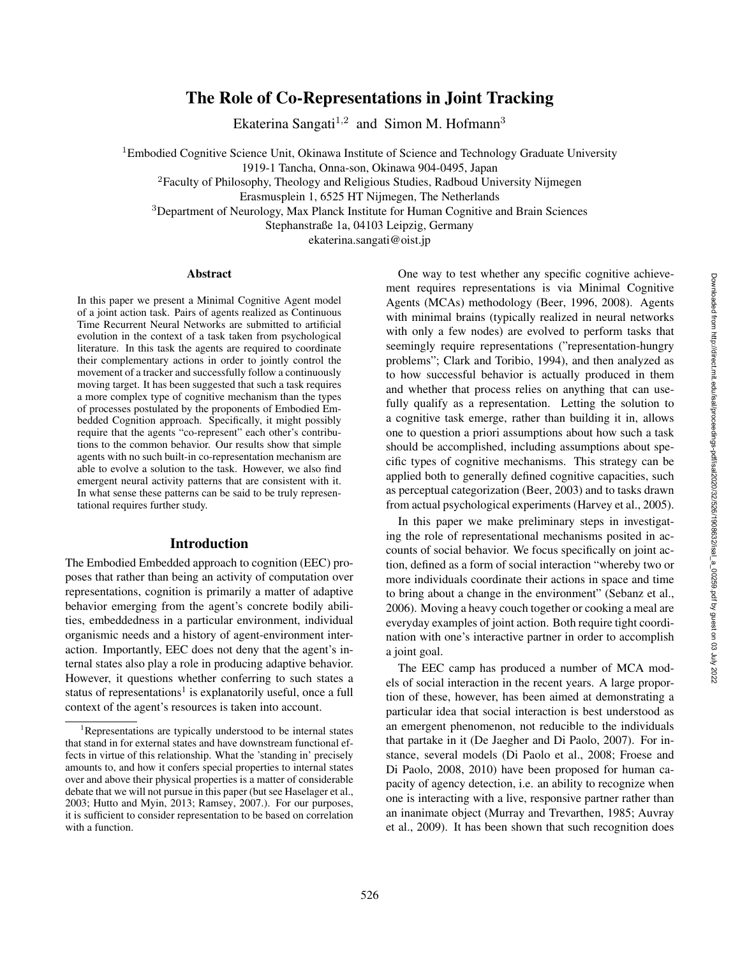# The Role of Co-Representations in Joint Tracking

Ekaterina Sangati<sup>1,2</sup> and Simon M. Hofmann<sup>3</sup>

<sup>1</sup>Embodied Cognitive Science Unit, Okinawa Institute of Science and Technology Graduate University

1919-1 Tancha, Onna-son, Okinawa 904-0495, Japan

<sup>2</sup>Faculty of Philosophy, Theology and Religious Studies, Radboud University Nijmegen

Erasmusplein 1, 6525 HT Nijmegen, The Netherlands

<sup>3</sup>Department of Neurology, Max Planck Institute for Human Cognitive and Brain Sciences

Stephanstraße 1a, 04103 Leipzig, Germany

ekaterina.sangati@oist.jp

#### Abstract

In this paper we present a Minimal Cognitive Agent model of a joint action task. Pairs of agents realized as Continuous Time Recurrent Neural Networks are submitted to artificial evolution in the context of a task taken from psychological literature. In this task the agents are required to coordinate their complementary actions in order to jointly control the movement of a tracker and successfully follow a continuously moving target. It has been suggested that such a task requires a more complex type of cognitive mechanism than the types of processes postulated by the proponents of Embodied Embedded Cognition approach. Specifically, it might possibly require that the agents "co-represent" each other's contributions to the common behavior. Our results show that simple agents with no such built-in co-representation mechanism are able to evolve a solution to the task. However, we also find emergent neural activity patterns that are consistent with it. In what sense these patterns can be said to be truly representational requires further study.

# Introduction

The Embodied Embedded approach to cognition (EEC) proposes that rather than being an activity of computation over representations, cognition is primarily a matter of adaptive behavior emerging from the agent's concrete bodily abilities, embeddedness in a particular environment, individual organismic needs and a history of agent-environment interaction. Importantly, EEC does not deny that the agent's internal states also play a role in producing adaptive behavior. However, it questions whether conferring to such states a status of representations<sup>1</sup> is explanatorily useful, once a full context of the agent's resources is taken into account.

One way to test whether any specific cognitive achievement requires representations is via Minimal Cognitive Agents (MCAs) methodology (Beer, 1996, 2008). Agents with minimal brains (typically realized in neural networks with only a few nodes) are evolved to perform tasks that seemingly require representations ("representation-hungry problems"; Clark and Toribio, 1994), and then analyzed as to how successful behavior is actually produced in them and whether that process relies on anything that can usefully qualify as a representation. Letting the solution to a cognitive task emerge, rather than building it in, allows one to question a priori assumptions about how such a task should be accomplished, including assumptions about specific types of cognitive mechanisms. This strategy can be applied both to generally defined cognitive capacities, such as perceptual categorization (Beer, 2003) and to tasks drawn from actual psychological experiments (Harvey et al., 2005).

In this paper we make preliminary steps in investigating the role of representational mechanisms posited in accounts of social behavior. We focus specifically on joint action, defined as a form of social interaction "whereby two or more individuals coordinate their actions in space and time to bring about a change in the environment" (Sebanz et al., 2006). Moving a heavy couch together or cooking a meal are everyday examples of joint action. Both require tight coordination with one's interactive partner in order to accomplish a joint goal.

The EEC camp has produced a number of MCA models of social interaction in the recent years. A large proportion of these, however, has been aimed at demonstrating a particular idea that social interaction is best understood as an emergent phenomenon, not reducible to the individuals that partake in it (De Jaegher and Di Paolo, 2007). For instance, several models (Di Paolo et al., 2008; Froese and Di Paolo, 2008, 2010) have been proposed for human capacity of agency detection, i.e. an ability to recognize when one is interacting with a live, responsive partner rather than an inanimate object (Murray and Trevarthen, 1985; Auvray et al., 2009). It has been shown that such recognition does

 ${}^{1}$ Representations are typically understood to be internal states that stand in for external states and have downstream functional effects in virtue of this relationship. What the 'standing in' precisely amounts to, and how it confers special properties to internal states over and above their physical properties is a matter of considerable debate that we will not pursue in this paper (but see Haselager et al., 2003; Hutto and Myin, 2013; Ramsey, 2007.). For our purposes, it is sufficient to consider representation to be based on correlation with a function.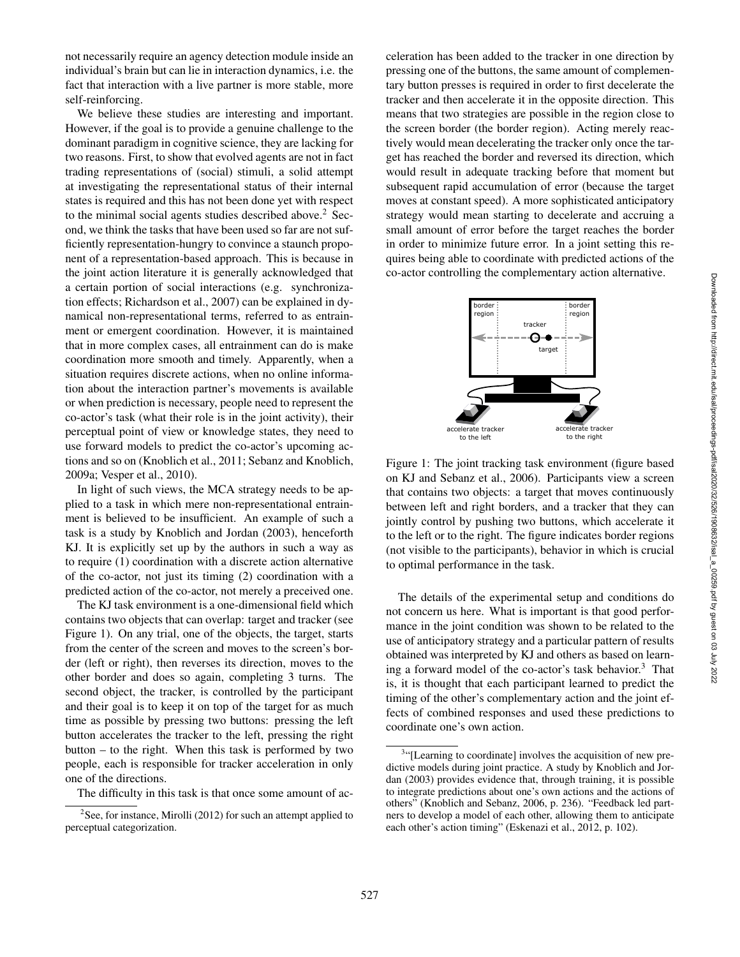not necessarily require an agency detection module inside an individual's brain but can lie in interaction dynamics, i.e. the fact that interaction with a live partner is more stable, more self-reinforcing.

We believe these studies are interesting and important. However, if the goal is to provide a genuine challenge to the dominant paradigm in cognitive science, they are lacking for two reasons. First, to show that evolved agents are not in fact trading representations of (social) stimuli, a solid attempt at investigating the representational status of their internal states is required and this has not been done yet with respect to the minimal social agents studies described above. <sup>2</sup> Second, we think the tasks that have been used so far are not sufficiently representation-hungry to convince a staunch proponent of a representation-based approach. This is because in the joint action literature it is generally acknowledged that a certain portion of social interactions (e.g. synchronization effects; Richardson et al., 2007) can be explained in dynamical non-representational terms, referred to as entrainment or emergent coordination. However, it is maintained that in more complex cases, all entrainment can do is make coordination more smooth and timely. Apparently, when a situation requires discrete actions, when no online information about the interaction partner's movements is available or when prediction is necessary, people need to represent the co-actor's task (what their role is in the joint activity), their perceptual point of view or knowledge states, they need to use forward models to predict the co-actor's upcoming actions and so on (Knoblich et al., 2011; Sebanz and Knoblich, 2009a; Vesper et al., 2010).

In light of such views, the MCA strategy needs to be applied to a task in which mere non-representational entrainment is believed to be insufficient. An example of such a task is a study by Knoblich and Jordan (2003), henceforth KJ. It is explicitly set up by the authors in such a way as to require (1) coordination with a discrete action alternative of the co-actor, not just its timing (2) coordination with a predicted action of the co-actor, not merely a preceived one.

The KJ task environment is a one-dimensional field which contains two objects that can overlap: target and tracker (see Figure 1). On any trial, one of the objects, the target, starts from the center of the screen and moves to the screen's border (left or right), then reverses its direction, moves to the other border and does so again, completing 3 turns. The second object, the tracker, is controlled by the participant and their goal is to keep it on top of the target for as much time as possible by pressing two buttons: pressing the left button accelerates the tracker to the left, pressing the right button – to the right. When this task is performed by two people, each is responsible for tracker acceleration in only one of the directions.

The difficulty in this task is that once some amount of ac-

celeration has been added to the tracker in one direction by pressing one of the buttons, the same amount of complementary button presses is required in order to first decelerate the tracker and then accelerate it in the opposite direction. This means that two strategies are possible in the region close to the screen border (the border region). Acting merely reactively would mean decelerating the tracker only once the target has reached the border and reversed its direction, which would result in adequate tracking before that moment but subsequent rapid accumulation of error (because the target moves at constant speed). A more sophisticated anticipatory strategy would mean starting to decelerate and accruing a small amount of error before the target reaches the border in order to minimize future error. In a joint setting this requires being able to coordinate with predicted actions of the co-actor controlling the complementary action alternative.



Figure 1: The joint tracking task environment (figure based on KJ and Sebanz et al., 2006). Participants view a screen that contains two objects: a target that moves continuously between left and right borders, and a tracker that they can jointly control by pushing two buttons, which accelerate it to the left or to the right. The figure indicates border regions (not visible to the participants), behavior in which is crucial to optimal performance in the task.

The details of the experimental setup and conditions do not concern us here. What is important is that good performance in the joint condition was shown to be related to the use of anticipatory strategy and a particular pattern of results obtained was interpreted by KJ and others as based on learning a forward model of the co-actor's task behavior.<sup>3</sup> That is, it is thought that each participant learned to predict the timing of the other's complementary action and the joint effects of combined responses and used these predictions to coordinate one's own action.

 $2$ See, for instance, Mirolli (2012) for such an attempt applied to perceptual categorization.

<sup>&</sup>lt;sup>3</sup>"[Learning to coordinate] involves the acquisition of new predictive models during joint practice. A study by Knoblich and Jordan (2003) provides evidence that, through training, it is possible to integrate predictions about one's own actions and the actions of others" (Knoblich and Sebanz, 2006, p. 236). "Feedback led partners to develop a model of each other, allowing them to anticipate each other's action timing" (Eskenazi et al., 2012, p. 102).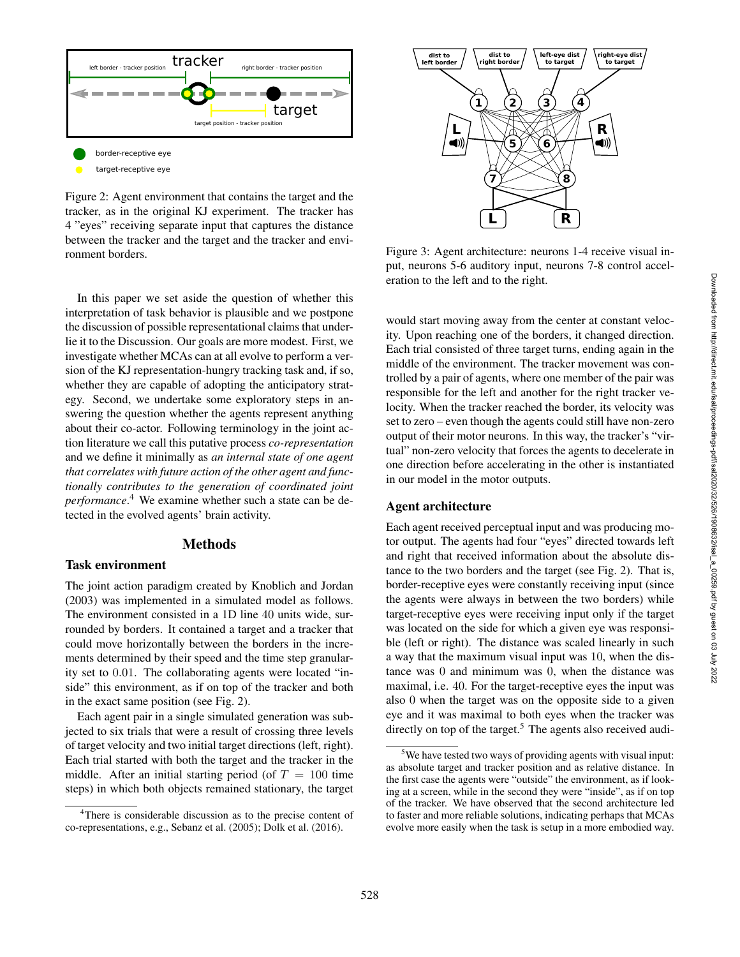

Figure 2: Agent environment that contains the target and the tracker, as in the original KJ experiment. The tracker has 4 "eyes" receiving separate input that captures the distance between the tracker and the target and the tracker and environment borders.

In this paper we set aside the question of whether this interpretation of task behavior is plausible and we postpone the discussion of possible representational claims that underlie it to the Discussion. Our goals are more modest. First, we investigate whether MCAs can at all evolve to perform a version of the KJ representation-hungry tracking task and, if so, whether they are capable of adopting the anticipatory strategy. Second, we undertake some exploratory steps in answering the question whether the agents represent anything about their co-actor. Following terminology in the joint action literature we call this putative process *co-representation* and we define it minimally as *an internal state of one agent that correlates with future action of the other agent and functionally contributes to the generation of coordinated joint performance* . <sup>4</sup> We examine whether such a state can be detected in the evolved agents' brain activity. **Example 12**<br> **Example 12 Conservant the control in the state of the state of the state of the state of the state of the state of the state of the state of the state of the state of the state of the state of the state o** 

# **Methods**

# Task environment

The joint action paradigm created by Knoblich and Jordan (2003) was implemented in a simulated model as follows. The environment consisted in a 1D line 40 units wide, surrounded by borders. It contained a target and a tracker that could move horizontally between the borders in the increments determined by their speed and the time step granularity set to 0.01. The collaborating agents were located "inside" this environment, as if on top of the tracker and both in the exact same position (see Fig. 2).

Each agent pair in a single simulated generation was subjected to six trials that were a result of crossing three levels of target velocity and two initial target directions (left, right). Each trial started with both the target and the tracker in the middle. After an initial starting period (of  $T = 100$  time steps) in which both objects remained stationary, the target



Figure 3: Agent architecture: neurons 1-4 receive visual input, neurons 5-6 auditory input, neurons 7-8 control acceleration to the left and to the right.

would start moving away from the center at constant velocity. Upon reaching one of the borders, it changed direction. Each trial consisted of three target turns, ending again in the middle of the environment. The tracker movement was controlled by a pair of agents, where one member of the pair was responsible for the left and another for the right tracker velocity. When the tracker reached the border, its velocity was set to zero – even though the agents could still have non-zero output of their motor neurons. In this way, the tracker's "virtual" non-zero velocity that forces the agents to decelerate in one direction before accelerating in the other is instantiated in our model in the motor outputs.

### Agent architecture

Each agent received perceptual input and was producing motor output. The agents had four "eyes" directed towards left and right that received information about the absolute distance to the two borders and the target (see Fig. 2). That is, border-receptive eyes were constantly receiving input (since the agents were always in between the two borders) while target-receptive eyes were receiving input only if the target was located on the side for which a given eye was responsible (left or right). The distance was scaled linearly in such a way that the maximum visual input was 10, when the distance was 0 and minimum was 0, when the distance was maximal, i.e. 40. For the target-receptive eyes the input was also 0 when the target was on the opposite side to a given eye and it was maximal to both eyes when the tracker was directly on top of the target.<sup>5</sup> The agents also received audi-

<sup>&</sup>lt;sup>4</sup>There is considerable discussion as to the precise content of

<sup>5</sup>We have tested two ways of providing agents with visual input: as absolute target and tracker position and as relative distance. In the first case the agents were "outside" the environment, as if looking at a screen, while in the second they were "inside", as if on top of the tracker. We have observed that the second architecture led to faster and more reliable solutions, indicating perhaps that MCAs evolve more easily when the task is setup in a more embodied way.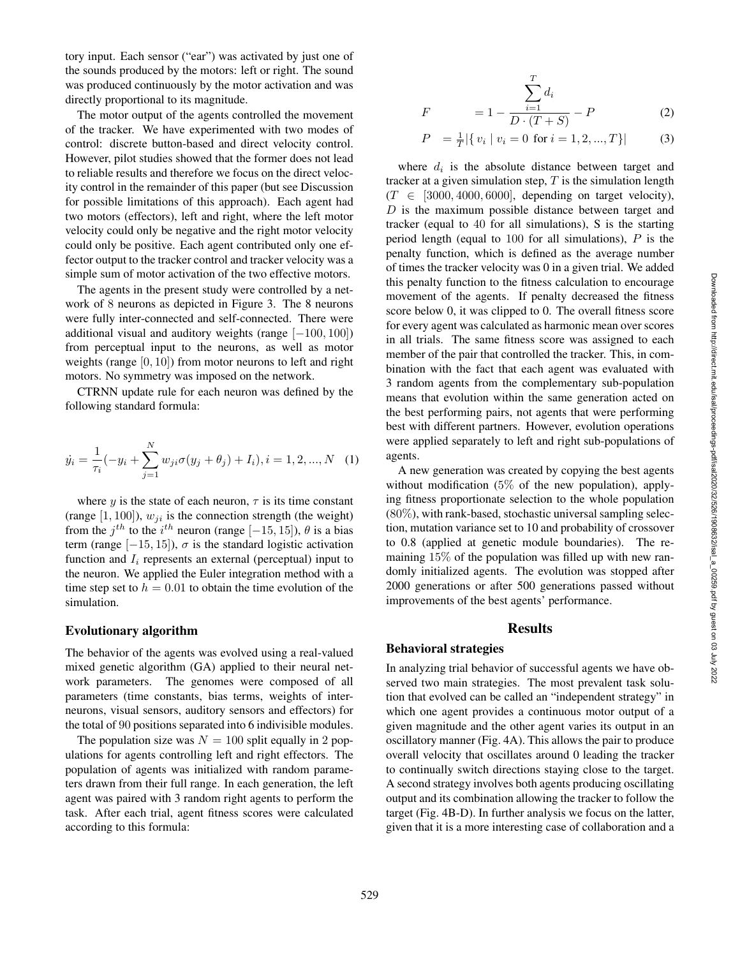tory input. Each sensor ("ear") was activated by just one of the sounds produced by the motors: left or right. The sound was produced continuously by the motor activation and was directly proportional to its magnitude.

The motor output of the agents controlled the movement of the tracker. We have experimented with two modes of control: discrete button-based and direct velocity control. However, pilot studies showed that the former does not lead to reliable results and therefore we focus on the direct velocity control in the remainder of this paper (but see Discussion for possible limitations of this approach). Each agent had two motors (effectors), left and right, where the left motor velocity could only be negative and the right motor velocity could only be positive. Each agent contributed only one effector output to the tracker control and tracker velocity was a simple sum of motor activation of the two effective motors.

The agents in the present study were controlled by a network of 8 neurons as depicted in Figure 3. The 8 neurons were fully inter-connected and self-connected. There were additional visual and auditory weights (range  $[-100, 100]$ ) from perceptual input to the neurons, as well as motor weights (range [0, 10]) from motor neurons to left and right motors. No symmetry was imposed on the network.

CTRNN update rule for each neuron was defined by the following standard formula:

$$
\dot{y}_i = \frac{1}{\tau_i}(-y_i + \sum_{j=1}^N w_{ji}\sigma(y_j + \theta_j) + I_i), i = 1, 2, ..., N \quad (1)
$$

where y is the state of each neuron,  $\tau$  is its time constant (range  $[1, 100]$ ),  $w_{ji}$  is the connection strength (the weight) from the  $j^{th}$  to the  $i^{th}$  neuron (range [-15, 15]),  $\theta$  is a bias term (range  $[-15, 15]$ ),  $\sigma$  is the standard logistic activation function and  $I_i$  represents an external (perceptual) input to the neuron. We applied the Euler integration method with a time step set to  $h = 0.01$  to obtain the time evolution of the simulation.

## Evolutionary algorithm

The behavior of the agents was evolved using a real-valued mixed genetic algorithm (GA) applied to their neural network parameters. The genomes were composed of all parameters (time constants, bias terms, weights of interneurons, visual sensors, auditory sensors and effectors) for the total of 90 positions separated into 6 indivisible modules.

The population size was  $N = 100$  split equally in 2 populations for agents controlling left and right effectors. The population of agents was initialized with random parameters drawn from their full range. In each generation, the left agent was paired with 3 random right agents to perform the task. After each trial, agent fitness scores were calculated according to this formula:

$$
F = 1 - \frac{\sum_{i=1}^{T} d_i}{D \cdot (T + S)} - P
$$
 (2)

$$
P = \frac{1}{T} |\{ v_i \mid v_i = 0 \text{ for } i = 1, 2, ..., T \}|
$$
 (3)

where  $d_i$  is the absolute distance between target and tracker at a given simulation step,  $T$  is the simulation length  $(T \in [3000, 4000, 6000],$  depending on target velocity), D is the maximum possible distance between target and tracker (equal to 40 for all simulations), S is the starting period length (equal to  $100$  for all simulations),  $P$  is the penalty function, which is defined as the average number of times the tracker velocity was 0 in a given trial. We added this penalty function to the fitness calculation to encourage movement of the agents. If penalty decreased the fitness score below 0, it was clipped to 0. The overall fitness score for every agent was calculated as harmonic mean over scores in all trials. The same fitness score was assigned to each member of the pair that controlled the tracker. This, in combination with the fact that each agent was evaluated with 3 random agents from the complementary sub-population means that evolution within the same generation acted on the best performing pairs, not agents that were performing best with different partners. However, evolution operations were applied separately to left and right sub-populations of agents.

A new generation was created by copying the best agents without modification  $(5\% \text{ of the new population})$ , applying fitness proportionate selection to the whole population  $(80\%)$ , with rank-based, stochastic universal sampling selection, mutation variance set to 10 and probability of crossover to 0.8 (applied at genetic module boundaries). The remaining 15% of the population was filled up with new randomly initialized agents. The evolution was stopped after 2000 generations or after 500 generations passed without improvements of the best agents' performance.

#### Results

### Behavioral strategies

In analyzing trial behavior of successful agents we have observed two main strategies. The most prevalent task solution that evolved can be called an "independent strategy" in which one agent provides a continuous motor output of a given magnitude and the other agent varies its output in an oscillatory manner (Fig. 4A). This allows the pair to produce overall velocity that oscillates around 0 leading the tracker to continually switch directions staying close to the target. A second strategy involves both agents producing oscillating output and its combination allowing the tracker to follow the target (Fig. 4B-D). In further analysis we focus on the latter, given that it is a more interesting case of collaboration and a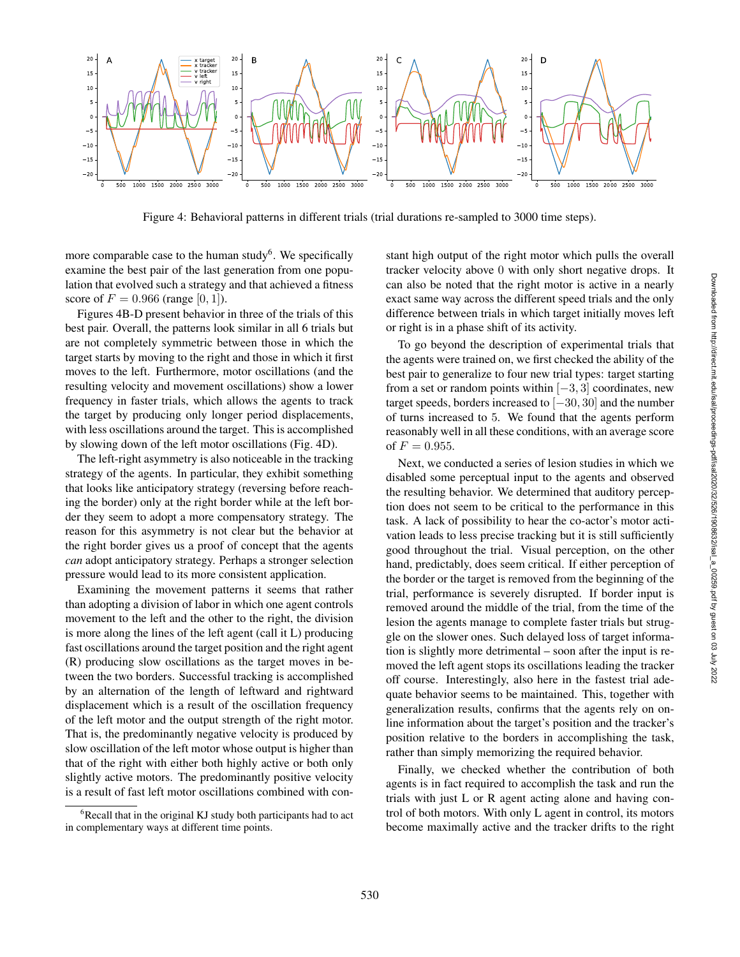

Figure 4: Behavioral patterns in different trials (trial durations re-sampled to 3000 time steps).

more comparable case to the human study<sup>6</sup>. We specifically examine the best pair of the last generation from one population that evolved such a strategy and that achieved a fitness score of  $F = 0.966$  (range [0, 1]).

Figures 4B-D present behavior in three of the trials of this best pair. Overall, the patterns look similar in all 6 trials but are not completely symmetric between those in which the target starts by moving to the right and those in which it first moves to the left. Furthermore, motor oscillations (and the resulting velocity and movement oscillations) show a lower frequency in faster trials, which allows the agents to track the target by producing only longer period displacements, with less oscillations around the target. This is accomplished by slowing down of the left motor oscillations (Fig. 4D).

The left-right asymmetry is also noticeable in the tracking strategy of the agents. In particular, they exhibit something that looks like anticipatory strategy (reversing before reaching the border) only at the right border while at the left border they seem to adopt a more compensatory strategy. The reason for this asymmetry is not clear but the behavior at the right border gives us a proof of concept that the agents *can* adopt anticipatory strategy. Perhaps a stronger selection pressure would lead to its more consistent application.

Examining the movement patterns it seems that rather than adopting a division of labor in which one agent controls movement to the left and the other to the right, the division is more along the lines of the left agent (call it L) producing fast oscillations around the target position and the right agent (R) producing slow oscillations as the target moves in between the two borders. Successful tracking is accomplished by an alternation of the length of leftward and rightward displacement which is a result of the oscillation frequency of the left motor and the output strength of the right motor. That is, the predominantly negative velocity is produced by slow oscillation of the left motor whose output is higher than that of the right with either both highly active or both only slightly active motors. The predominantly positive velocity is a result of fast left motor oscillations combined with constant high output of the right motor which pulls the overall tracker velocity above 0 with only short negative drops. It can also be noted that the right motor is active in a nearly exact same way across the different speed trials and the only difference between trials in which target initially moves left or right is in a phase shift of its activity.

To go beyond the description of experimental trials that the agents were trained on, we first checked the ability of the best pair to generalize to four new trial types: target starting from a set or random points within  $[-3, 3]$  coordinates, new target speeds, borders increased to  $[-30, 30]$  and the number of turns increased to 5. We found that the agents perform reasonably well in all these conditions, with an average score of  $F = 0.955$ .

Next, we conducted a series of lesion studies in which we disabled some perceptual input to the agents and observed the resulting behavior. We determined that auditory perception does not seem to be critical to the performance in this task. A lack of possibility to hear the co-actor's motor activation leads to less precise tracking but it is still sufficiently good throughout the trial. Visual perception, on the other hand, predictably, does seem critical. If either perception of the border or the target is removed from the beginning of the trial, performance is severely disrupted. If border input is removed around the middle of the trial, from the time of the lesion the agents manage to complete faster trials but struggle on the slower ones. Such delayed loss of target information is slightly more detrimental – soon after the input is removed the left agent stops its oscillations leading the tracker off course. Interestingly, also here in the fastest trial adequate behavior seems to be maintained. This, together with generalization results, confirms that the agents rely on online information about the target's position and the tracker's position relative to the borders in accomplishing the task, rather than simply memorizing the required behavior.

Finally, we checked whether the contribution of both agents is in fact required to accomplish the task and run the trials with just L or R agent acting alone and having control of both motors. With only L agent in control, its motors become maximally active and the tracker drifts to the right

 ${}^{6}$ Recall that in the original KJ study both participants had to act in complementary ways at different time points.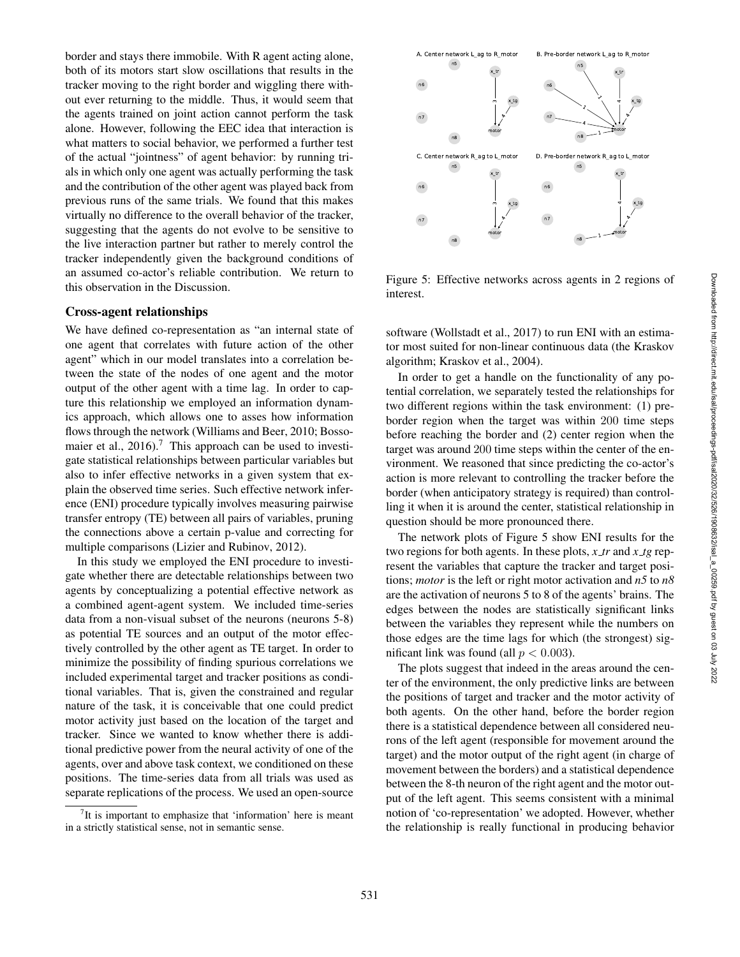border and stays there immobile. With R agent acting alone, both of its motors start slow oscillations that results in the tracker moving to the right border and wiggling there without ever returning to the middle. Thus, it would seem that the agents trained on joint action cannot perform the task alone. However, following the EEC idea that interaction is what matters to social behavior, we performed a further test of the actual "jointness" of agent behavior: by running trials in which only one agent was actually performing the task and the contribution of the other agent was played back from previous runs of the same trials. We found that this makes virtually no difference to the overall behavior of the tracker, suggesting that the agents do not evolve to be sensitive to the live interaction partner but rather to merely control the tracker independently given the background conditions of an assumed co-actor's reliable contribution. We return to this observation in the Discussion.

#### Cross-agent relationships

We have defined co-representation as "an internal state of one agent that correlates with future action of the other agent" which in our model translates into a correlation between the state of the nodes of one agent and the motor output of the other agent with a time lag. In order to capture this relationship we employed an information dynamics approach, which allows one to asses how information flows through the network (Williams and Beer, 2010; Bossomaier et al.,  $2016$ .<sup>7</sup> This approach can be used to investigate statistical relationships between particular variables but also to infer effective networks in a given system that explain the observed time series. Such effective network inference (ENI) procedure typically involves measuring pairwise transfer entropy (TE) between all pairs of variables, pruning the connections above a certain p-value and correcting for multiple comparisons (Lizier and Rubinov, 2012).

In this study we employed the ENI procedure to investigate whether there are detectable relationships between two agents by conceptualizing a potential effective network as a combined agent-agent system. We included time-series data from a non-visual subset of the neurons (neurons 5-8) as potential TE sources and an output of the motor effectively controlled by the other agent as TE target. In order to minimize the possibility of finding spurious correlations we included experimental target and tracker positions as conditional variables. That is, given the constrained and regular nature of the task, it is conceivable that one could predict motor activity just based on the location of the target and tracker. Since we wanted to know whether there is additional predictive power from the neural activity of one of the agents, over and above task context, we conditioned on these positions. The time-series data from all trials was used as separate replications of the process. We used an open-source

 $7$ It is important to emphasize that 'information' here is meant in a strictly statistical sense, not in semantic sense.



Figure 5: Effective networks across agents in 2 regions of interest.

software (Wollstadt et al., 2017) to run ENI with an estimator most suited for non-linear continuous data (the Kraskov algorithm; Kraskov et al., 2004).

In order to get a handle on the functionality of any potential correlation, we separately tested the relationships for two different regions within the task environment: (1) preborder region when the target was within 200 time steps before reaching the border and (2) center region when the target was around 200 time steps within the center of the environment. We reasoned that since predicting the co-actor's action is more relevant to controlling the tracker before the border (when anticipatory strategy is required) than controlling it when it is around the center, statistical relationship in question should be more pronounced there.

The network plots of Figure 5 show ENI results for the two regions for both agents. In these plots, *x tr* and *x tg* represent the variables that capture the tracker and target positions; *motor* is the left or right motor activation and *n5* to *n8* are the activation of neurons 5 to 8 of the agents' brains. The edges between the nodes are statistically significant links between the variables they represent while the numbers on those edges are the time lags for which (the strongest) significant link was found (all  $p < 0.003$ ).

The plots suggest that indeed in the areas around the center of the environment, the only predictive links are between the positions of target and tracker and the motor activity of both agents. On the other hand, before the border region there is a statistical dependence between all considered neurons of the left agent (responsible for movement around the target) and the motor output of the right agent (in charge of movement between the borders) and a statistical dependence between the 8-th neuron of the right agent and the motor output of the left agent. This seems consistent with a minimal notion of 'co-representation' we adopted. However, whether the relationship is really functional in producing behavior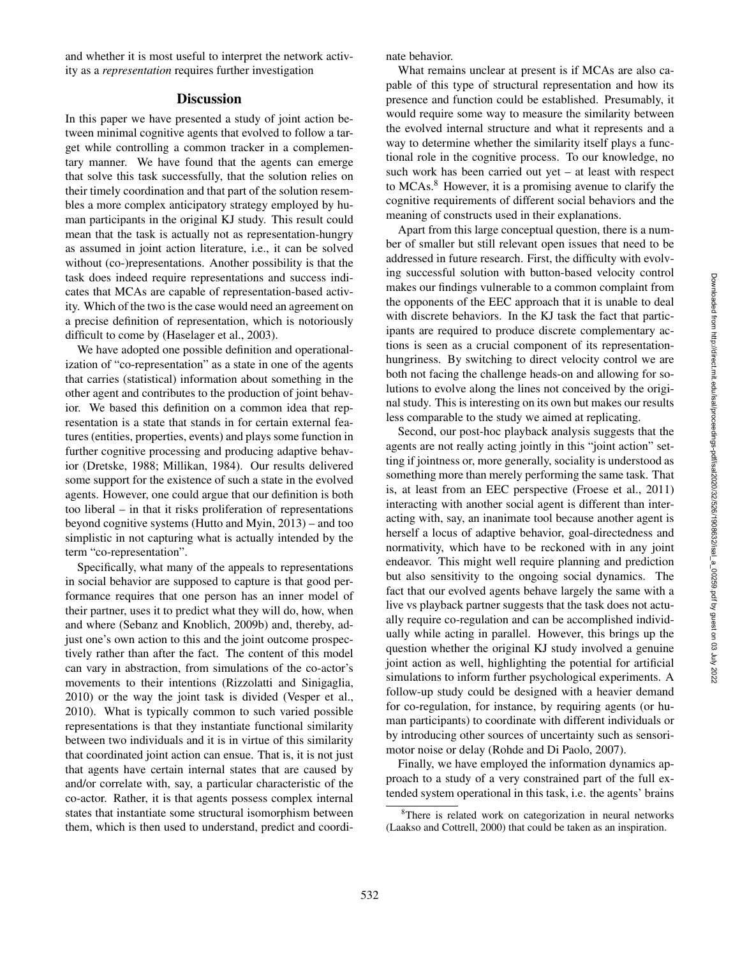and whether it is most useful to interpret the network activity as a *representation* requires further investigation

### **Discussion**

In this paper we have presented a study of joint action between minimal cognitive agents that evolved to follow a target while controlling a common tracker in a complementary manner. We have found that the agents can emerge that solve this task successfully, that the solution relies on their timely coordination and that part of the solution resembles a more complex anticipatory strategy employed by human participants in the original KJ study. This result could mean that the task is actually not as representation-hungry as assumed in joint action literature, i.e., it can be solved without (co-)representations. Another possibility is that the task does indeed require representations and success indicates that MCAs are capable of representation-based activity. Which of the two is the case would need an agreement on a precise definition of representation, which is notoriously difficult to come by (Haselager et al., 2003).

We have adopted one possible definition and operationalization of "co-representation" as a state in one of the agents that carries (statistical) information about something in the other agent and contributes to the production of joint behavior. We based this definition on a common idea that representation is a state that stands in for certain external features (entities, properties, events) and plays some function in further cognitive processing and producing adaptive behavior (Dretske, 1988; Millikan, 1984). Our results delivered some support for the existence of such a state in the evolved agents. However, one could argue that our definition is both too liberal – in that it risks proliferation of representations beyond cognitive systems (Hutto and Myin, 2013) – and too simplistic in not capturing what is actually intended by the term "co-representation".

Specifically, what many of the appeals to representations in social behavior are supposed to capture is that good performance requires that one person has an inner model of their partner, uses it to predict what they will do, how, when and where (Sebanz and Knoblich, 2009b) and, thereby, adjust one's own action to this and the joint outcome prospectively rather than after the fact. The content of this model can vary in abstraction, from simulations of the co-actor's movements to their intentions (Rizzolatti and Sinigaglia, 2010) or the way the joint task is divided (Vesper et al., 2010). What is typically common to such varied possible representations is that they instantiate functional similarity between two individuals and it is in virtue of this similarity that coordinated joint action can ensue. That is, it is not just that agents have certain internal states that are caused by and/or correlate with, say, a particular characteristic of the co-actor. Rather, it is that agents possess complex internal states that instantiate some structural isomorphism between them, which is then used to understand, predict and coordinate behavior.

What remains unclear at present is if MCAs are also capable of this type of structural representation and how its presence and function could be established. Presumably, it would require some way to measure the similarity between the evolved internal structure and what it represents and a way to determine whether the similarity itself plays a functional role in the cognitive process. To our knowledge, no such work has been carried out yet – at least with respect to MCAs. <sup>8</sup> However, it is a promising avenue to clarify the cognitive requirements of different social behaviors and the meaning of constructs used in their explanations.

Apart from this large conceptual question, there is a number of smaller but still relevant open issues that need to be addressed in future research. First, the difficulty with evolving successful solution with button-based velocity control makes our findings vulnerable to a common complaint from the opponents of the EEC approach that it is unable to deal with discrete behaviors. In the KJ task the fact that participants are required to produce discrete complementary actions is seen as a crucial component of its representationhungriness. By switching to direct velocity control we are both not facing the challenge heads-on and allowing for solutions to evolve along the lines not conceived by the original study. This is interesting on its own but makes our results less comparable to the study we aimed at replicating.

Second, our post-hoc playback analysis suggests that the agents are not really acting jointly in this "joint action" setting if jointness or, more generally, sociality is understood as something more than merely performing the same task. That is, at least from an EEC perspective (Froese et al., 2011) interacting with another social agent is different than interacting with, say, an inanimate tool because another agent is herself a locus of adaptive behavior, goal-directedness and normativity, which have to be reckoned with in any joint endeavor. This might well require planning and prediction but also sensitivity to the ongoing social dynamics. The fact that our evolved agents behave largely the same with a live vs playback partner suggests that the task does not actually require co-regulation and can be accomplished individually while acting in parallel. However, this brings up the question whether the original KJ study involved a genuine joint action as well, highlighting the potential for artificial simulations to inform further psychological experiments. A follow-up study could be designed with a heavier demand for co-regulation, for instance, by requiring agents (or human participants) to coordinate with different individuals or by introducing other sources of uncertainty such as sensorimotor noise or delay (Rohde and Di Paolo, 2007).

Finally, we have employed the information dynamics approach to a study of a very constrained part of the full extended system operational in this task, i.e. the agents' brains

<sup>&</sup>lt;sup>8</sup>There is related work on categorization in neural networks (Laakso and Cottrell, 2000) that could be taken as an inspiration.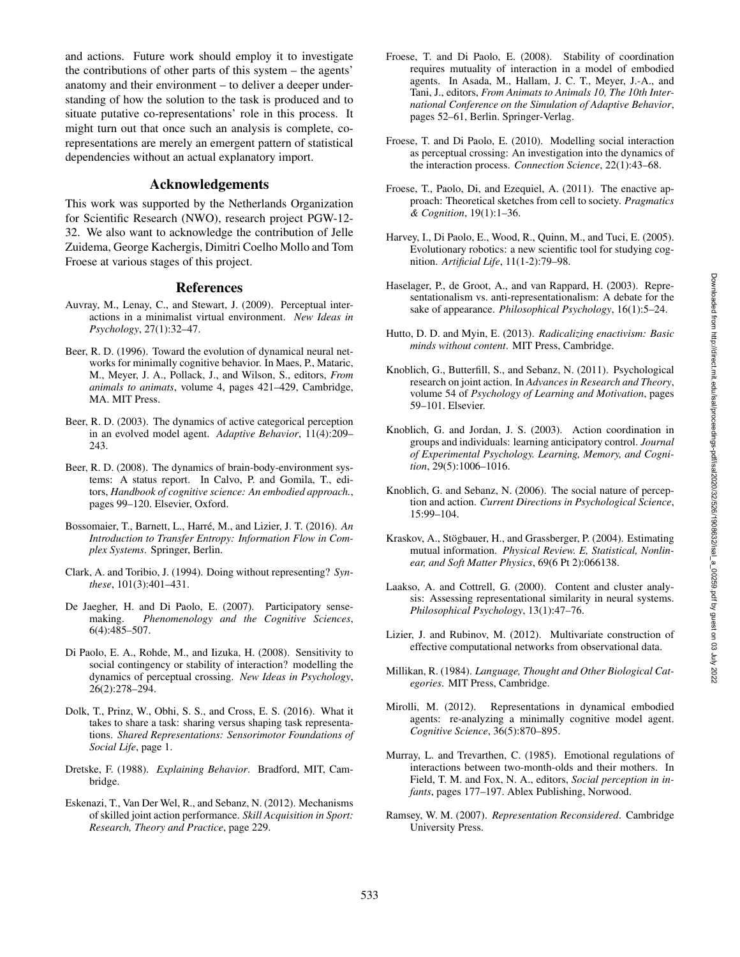and actions. Future work should employ it to investigate the contributions of other parts of this system – the agents' anatomy and their environment – to deliver a deeper understanding of how the solution to the task is produced and to situate putative co-representations' role in this process. It might turn out that once such an analysis is complete, corepresentations are merely an emergent pattern of statistical dependencies without an actual explanatory import.

# Acknowledgements

This work was supported by the Netherlands Organization for Scientific Research (NWO), research project PGW-12- 32. We also want to acknowledge the contribution of Jelle Zuidema, George Kachergis, Dimitri Coelho Mollo and Tom Froese at various stages of this project.

## References

- Auvray, M., Lenay, C., and Stewart, J. (2009). Perceptual interactions in a minimalist virtual environment. *New Ideas in Psychology*, 27(1):32–47.
- Beer, R. D. (1996). Toward the evolution of dynamical neural networks for minimally cognitive behavior. In Maes, P., Mataric, M., Meyer, J. A., Pollack, J., and Wilson, S., editors, *From animals to animats*, volume 4, pages 421–429, Cambridge, MA. MIT Press.
- Beer, R. D. (2003). The dynamics of active categorical perception in an evolved model agent. *Adaptive Behavior*, 11(4):209– 243.
- Beer, R. D. (2008). The dynamics of brain-body-environment systems: A status report. In Calvo, P. and Gomila, T., editors, *Handbook of cognitive science: An embodied approach.*, pages 99–120. Elsevier, Oxford.
- Bossomaier, T., Barnett, L., Harré, M., and Lizier, J. T. (2016). An *Introduction to Transfer Entropy: Information Flow in Complex Systems*. Springer, Berlin.
- Clark, A. and Toribio, J. (1994). Doing without representing? *Synthese*, 101(3):401–431.
- De Jaegher, H. and Di Paolo, E. (2007). Participatory sensemaking. *Phenomenology and the Cognitive Sciences*, 6(4):485–507.
- Di Paolo, E. A., Rohde, M., and Iizuka, H. (2008). Sensitivity to social contingency or stability of interaction? modelling the dynamics of perceptual crossing. *New Ideas in Psychology* , 26(2):278–294.
- Dolk, T., Prinz, W., Obhi, S. S., and Cross, E. S. (2016). What it takes to share a task: sharing versus shaping task representations. *Shared Representations: Sensorimotor Foundations of Social Life*, page 1.
- Dretske, F. (1988). *Explaining Behavior*. Bradford, MIT, Cambridge.
- Eskenazi, T., Van Der Wel, R., and Sebanz, N. (2012). Mechanisms of skilled joint action performance. *Skill Acquisition in Sport: Research, Theory and Practice*, page 229.
- Froese, T. and Di Paolo, E. (2008). Stability of coordination requires mutuality of interaction in a model of embodied agents. In Asada, M., Hallam, J. C. T., Meyer, J.-A., and Tani, J., editors, *From Animats to Animals 10, The 10th International Conference on the Simulation of Adaptive Behavior*, pages 52–61, Berlin. Springer-Verlag.
- Froese, T. and Di Paolo, E. (2010). Modelling social interaction as perceptual crossing: An investigation into the dynamics of the interaction process. *Connection Science*, 22(1):43–68.
- Froese, T., Paolo, Di, and Ezequiel, A. (2011). The enactive approach: Theoretical sketches from cell to society. *Pragmatics & Cognition*, 19(1):1–36.
- Harvey, I., Di Paolo, E., Wood, R., Quinn, M., and Tuci, E. (2005). Evolutionary robotics: a new scientific tool for studying cognition. *Artificial Life*, 11(1-2):79–98.
- Haselager, P., de Groot, A., and van Rappard, H. (2003). Representationalism vs. anti-representationalism: A debate for the sake of appearance. *Philosophical Psychology*, 16(1):5–24.
- Hutto, D. D. and Myin, E. (2013). *Radicalizing enactivism: Basic minds without content*. MIT Press, Cambridge.
- Knoblich, G., Butterfill, S., and Sebanz, N. (2011). Psychological research on joint action. In *Advances in Research and Theory* , volume 54 of *Psychology of Learning and Motivation*, pages 59–101. Elsevier.
- Knoblich, G. and Jordan, J. S. (2003). Action coordination in groups and individuals: learning anticipatory control. *Journal of Experimental Psychology. Learning, Memory, and Cognition*, 29(5):1006–1016.
- Knoblich, G. and Sebanz, N. (2006). The social nature of perception and action. *Current Directions in Psychological Science*, 15:99–104.
- Kraskov, A., Stögbauer, H., and Grassberger, P. (2004). Estimating mutual information. *Physical Review. E, Statistical, Nonlinear, and Soft Matter Physics*, 69(6 Pt 2):066138.
- Laakso, A. and Cottrell, G. (2000). Content and cluster analysis: Assessing representational similarity in neural systems. *Philosophical Psychology*, 13(1):47–76.
- Lizier, J. and Rubinov, M. (2012). Multivariate construction of effective computational networks from observational data.
- Millikan, R. (1984). *Language, Thought and Other Biological Categories*. MIT Press, Cambridge.
- Mirolli, M. (2012). Representations in dynamical embodied agents: re-analyzing a minimally cognitive model agent. *Cognitive Science*, 36(5):870–895.
- Murray, L. and Trevarthen, C. (1985). Emotional regulations of interactions between two-month-olds and their mothers. In Field, T. M. and Fox, N. A., editors, *Social perception in infants*, pages 177–197. Ablex Publishing, Norwood.
- Ramsey, W. M. (2007). *Representation Reconsidered*. Cambridge University Press.